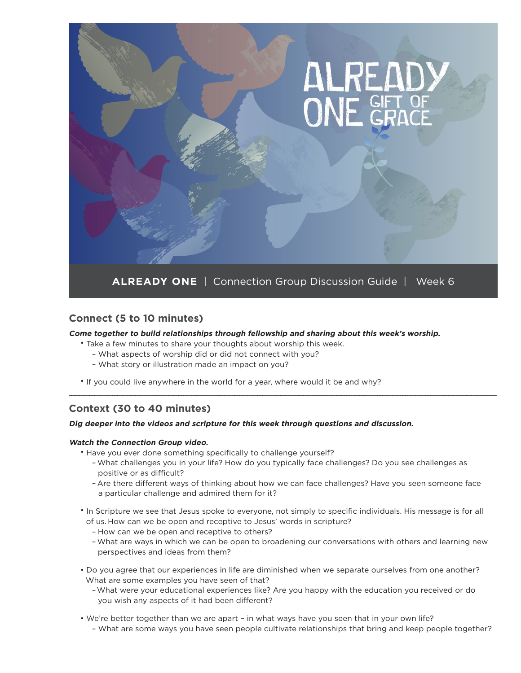

## **Connect (5 to 10 minutes)**

#### **Come together to build relationships through fellowship and sharing about this week's worship.**

- Take a few minutes to share your thoughts about worship this week.
	- What aspects of worship did or did not connect with you?
	- What story or illustration made an impact on you?
- If you could live anywhere in the world for a year, where would it be and why?

## **Context (30 to 40 minutes)**

#### **Dig deeper into the videos and scripture for this week through questions and discussion.**

#### **Watch the Connection Group video.**

- Have you ever done something specifically to challenge yourself?
	- What challenges you in your life? How do you typically face challenges? Do you see challenges as positive or as difficult?

\_\_\_\_\_\_\_\_\_\_\_\_\_\_\_\_\_\_\_\_\_\_\_\_\_\_\_\_\_\_\_\_\_\_\_\_\_\_\_\_\_\_\_\_\_\_\_\_\_\_\_\_\_\_\_\_\_\_\_\_\_\_\_\_\_\_\_\_\_\_\_\_\_\_\_\_\_\_\_\_\_\_\_\_\_\_\_\_\_\_\_\_\_\_\_\_\_\_\_\_\_\_\_\_\_\_\_\_\_\_\_\_\_\_\_\_\_\_\_\_\_\_\_\_\_\_\_\_\_\_\_\_\_\_\_\_\_\_\_\_\_\_\_\_\_\_\_\_\_\_\_\_\_\_\_\_\_\_\_\_\_\_\_\_\_\_\_\_

- Are there different ways of thinking about how we can face challenges? Have you seen someone face a particular challenge and admired them for it?
- In Scripture we see that Jesus spoke to everyone, not simply to specific individuals. His message is for all of us. How can we be open and receptive to Jesus' words in scripture?
	- How can we be open and receptive to others?
	- What are ways in which we can be open to broadening our conversations with others and learning new perspectives and ideas from them?
- Do you agree that our experiences in life are diminished when we separate ourselves from one another? What are some examples you have seen of that?
	- What were your educational experiences like? Are you happy with the education you received or do you wish any aspects of it had been different?
- We're better together than we are apart in what ways have you seen that in your own life?
	- What are some ways you have seen people cultivate relationships that bring and keep people together?